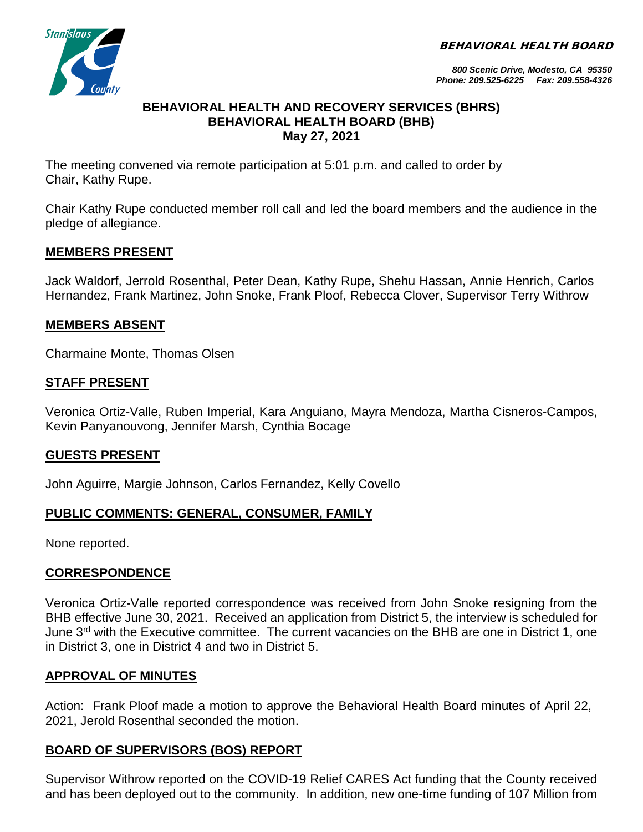BEHAVIORAL HEALTH BOARD



*800 Scenic Drive, Modesto, CA 95350 Phone: 209.525-6225 Fax: 209.558-4326*

#### **BEHAVIORAL HEALTH AND RECOVERY SERVICES (BHRS) BEHAVIORAL HEALTH BOARD (BHB) May 27, 2021**

The meeting convened via remote participation at 5:01 p.m. and called to order by Chair, Kathy Rupe.

Chair Kathy Rupe conducted member roll call and led the board members and the audience in the pledge of allegiance.

## **MEMBERS PRESENT**

Jack Waldorf, Jerrold Rosenthal, Peter Dean, Kathy Rupe, Shehu Hassan, Annie Henrich, Carlos Hernandez, Frank Martinez, John Snoke, Frank Ploof, Rebecca Clover, Supervisor Terry Withrow

## **MEMBERS ABSENT**

Charmaine Monte, Thomas Olsen

### **STAFF PRESENT**

Veronica Ortiz-Valle, Ruben Imperial, Kara Anguiano, Mayra Mendoza, Martha Cisneros-Campos, Kevin Panyanouvong, Jennifer Marsh, Cynthia Bocage

### **GUESTS PRESENT**

John Aguirre, Margie Johnson, Carlos Fernandez, Kelly Covello

# **PUBLIC COMMENTS: GENERAL, CONSUMER, FAMILY**

None reported.

### **CORRESPONDENCE**

Veronica Ortiz-Valle reported correspondence was received from John Snoke resigning from the BHB effective June 30, 2021. Received an application from District 5, the interview is scheduled for June 3rd with the Executive committee. The current vacancies on the BHB are one in District 1, one in District 3, one in District 4 and two in District 5.

### **APPROVAL OF MINUTES**

Action: Frank Ploof made a motion to approve the Behavioral Health Board minutes of April 22, 2021, Jerold Rosenthal seconded the motion.

### **BOARD OF SUPERVISORS (BOS) REPORT**

Supervisor Withrow reported on the COVID-19 Relief CARES Act funding that the County received and has been deployed out to the community. In addition, new one-time funding of 107 Million from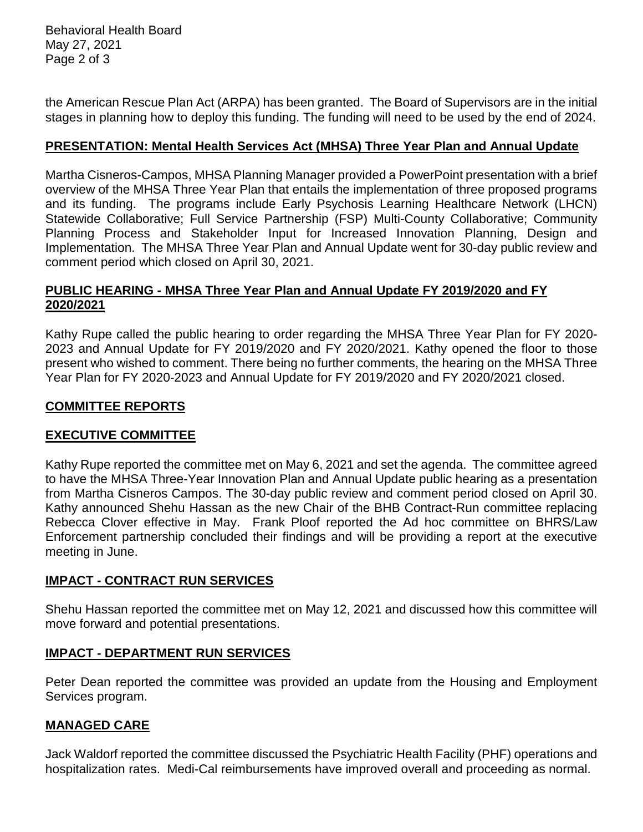Behavioral Health Board May 27, 2021 Page 2 of 3

the American Rescue Plan Act (ARPA) has been granted. The Board of Supervisors are in the initial stages in planning how to deploy this funding. The funding will need to be used by the end of 2024.

### **PRESENTATION: Mental Health Services Act (MHSA) Three Year Plan and Annual Update**

Martha Cisneros-Campos, MHSA Planning Manager provided a PowerPoint presentation with a brief overview of the MHSA Three Year Plan that entails the implementation of three proposed programs and its funding. The programs include Early Psychosis Learning Healthcare Network (LHCN) Statewide Collaborative; Full Service Partnership (FSP) Multi-County Collaborative; Community Planning Process and Stakeholder Input for Increased Innovation Planning, Design and Implementation. The MHSA Three Year Plan and Annual Update went for 30-day public review and comment period which closed on April 30, 2021.

## **PUBLIC HEARING - MHSA Three Year Plan and Annual Update FY 2019/2020 and FY 2020/2021**

Kathy Rupe called the public hearing to order regarding the MHSA Three Year Plan for FY 2020- 2023 and Annual Update for FY 2019/2020 and FY 2020/2021. Kathy opened the floor to those present who wished to comment. There being no further comments, the hearing on the MHSA Three Year Plan for FY 2020-2023 and Annual Update for FY 2019/2020 and FY 2020/2021 closed.

## **COMMITTEE REPORTS**

# **EXECUTIVE COMMITTEE**

Kathy Rupe reported the committee met on May 6, 2021 and set the agenda. The committee agreed to have the MHSA Three-Year Innovation Plan and Annual Update public hearing as a presentation from Martha Cisneros Campos. The 30-day public review and comment period closed on April 30. Kathy announced Shehu Hassan as the new Chair of the BHB Contract-Run committee replacing Rebecca Clover effective in May. Frank Ploof reported the Ad hoc committee on BHRS/Law Enforcement partnership concluded their findings and will be providing a report at the executive meeting in June.

### **IMPACT - CONTRACT RUN SERVICES**

Shehu Hassan reported the committee met on May 12, 2021 and discussed how this committee will move forward and potential presentations.

### **IMPACT - DEPARTMENT RUN SERVICES**

Peter Dean reported the committee was provided an update from the Housing and Employment Services program.

### **MANAGED CARE**

Jack Waldorf reported the committee discussed the Psychiatric Health Facility (PHF) operations and hospitalization rates. Medi-Cal reimbursements have improved overall and proceeding as normal.